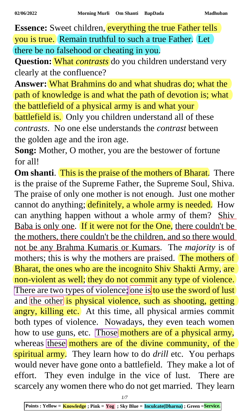**Essence:** Sweet children, everything the true Father tells you is true. Remain truthful to such a true Father. Let there be no falsehood or cheating in you.

**Question:** What *contrasts* do you children understand very clearly at the confluence?

**Answer:** What Brahmins do and what shudras do; what the path of knowledge is and what the path of devotion is; what the battlefield of a physical army is and what your

**battlefield is.** Only you children understand all of these *contrasts*. No one else understands the *contrast* between the golden age and the iron age.

**Song:** Mother, O mother, you are the bestower of fortune for all!

**Om shanti.** This is the praise of the mothers of Bharat. There is the praise of the Supreme Father, the Supreme Soul, Shiva. The praise of only one mother is not enough. Just one mother cannot do anything; definitely, a whole army is needed. How can anything happen without a whole army of them? Shiv Baba is only one. If it were not for the One, there couldn't be the mothers, there couldn't be the children, and so there would not be any Brahma Kumaris or Kumars. The *majority* is of mothers; this is why the mothers are praised. The mothers of Bharat, the ones who are the incognito Shiv Shakti Army, are non-violent as well; they do not commit any type of violence. There are two types of violence; one is to use the sword of lust and the other is physical violence, such as shooting, getting angry, killing etc. At this time, all physical armies commit both types of violence. Nowadays, they even teach women how to use guns, etc. Those mothers are of a physical army, whereas these mothers are of the divine community, of the spiritual army. They learn how to do *drill* etc. You perhaps would never have gone onto a battlefield. They make a lot of effort. They even indulge in the vice of lust. There are scarcely any women there who do not get married. They learn

*1/7*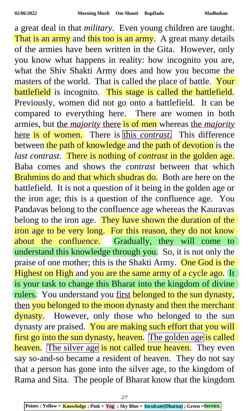a great deal in that *military*. Even young children are taught. That is an army and this too is an army. A great many details of the armies have been written in the Gita. However, only you know what happens in reality: how incognito you are, what the Shiv Shakti Army does and how you become the masters of the world. That is called the place of battle. Your battlefield is incognito. This stage is called the battlefield. Previously, women did not go onto a battlefield. It can be compared to everything here. There are women in both armies, but the *majority* there is of men whereas the *majority* here is of women. There is this *contrast*. This difference between the path of knowledge and the path of devotion is the *last contrast*. There is nothing of *contrast* in the golden age. Baba comes and shows the *contrast* between that which Brahmins do and that which shudras do. Both are here on the battlefield. It is not a question of it being in the golden age or the iron age; this is a question of the confluence age. You Pandavas belong to the confluence age whereas the Kauravas belong to the iron age. They have shown the duration of the iron age to be very long. For this reason, they do not know about the confluence. Gradually, they will come to understand this knowledge through you. So, it is not only the praise of one mother; this is the Shakti Army. One God is the Highest on High and you are the same army of a cycle ago. It is your task to change this Bharat into the kingdom of divine rulers. You understand you first belonged to the sun dynasty, then you belonged to the moon dynasty and then the merchant dynasty. However, only those who belonged to the sun dynasty are praised. You are making such effort that you will first go into the sun dynasty, heaven. The golden age is called heaven. The silver age is not called true heaven. They even say so-and-so became a resident of heaven. They do not say that a person has gone into the silver age, to the kingdom of Rama and Sita. The people of Bharat know that the kingdom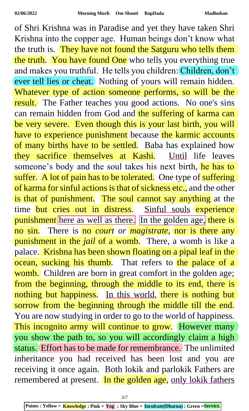of Shri Krishna was in Paradise and yet they have taken Shri Krishna into the copper age. Human beings don't know what the truth is. They have not found the Satguru who tells them the truth. You have found One who tells you everything true and makes you truthful. He tells you children: Children, don't ever tell lies or cheat. Nothing of yours will remain hidden. Whatever type of action someone performs, so will be the result. The Father teaches you good actions. No one's sins can remain hidden from God and the suffering of karma can be very severe. Even though this is your last birth, you will have to experience punishment because the karmic accounts of many births have to be settled. Baba has explained how they sacrifice themselves at Kashi. Until life leaves someone's body and the soul takes his next birth, he has to suffer. A lot of pain has to be tolerated. One type of suffering of karma for sinful actions is that of sickness etc., and the other is that of punishment. The soul cannot say anything at the time but cries out in distress. Sinful souls experience punishment here as well as there. In the golden age, there is no sin. There is no *court or magistrate*, nor is there any punishment in the *jail* of a womb. There, a womb is like a palace. Krishna has been shown floating on a pipal leaf in the ocean, sucking his thumb. That refers to the palace of a womb. Children are born in great comfort in the golden age; from the beginning, through the middle to its end, there is nothing but happiness. In this world, there is nothing but sorrow from the beginning through the middle till the end. You are now studying in order to go to the world of happiness. This incognito army will continue to grow. However many you show the path to, so you will accordingly claim a high status. Effort has to be made for remembrance. The unlimited inheritance you had received has been lost and you are receiving it once again. Both lokik and parlokik Fathers are remembered at present. In the golden age, only lokik fathers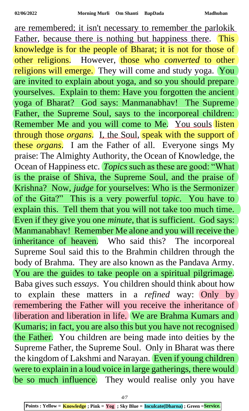are remembered; it isn't necessary to remember the parlokik Father, because there is nothing but happiness there. This knowledge is for the people of Bharat; it is not for those of other religions. However, those who *converted* to other religions will emerge. They will come and study yoga. You are invited to explain about yoga, and so you should prepare yourselves. Explain to them: Have you forgotten the ancient yoga of Bharat? God says: Manmanabhav! The Supreme Father, the Supreme Soul, says to the incorporeal children: Remember Me and you will come to Me. You souls listen through those *organs*. I, the Soul, speak with the support of these *organs*. I am the Father of all. Everyone sings My praise: The Almighty Authority, the Ocean of Knowledge, the Ocean of Happiness etc. *Topics* such as these are good: "What is the praise of Shiva, the Supreme Soul, and the praise of Krishna? Now, *judge* for yourselves: Who is the Sermonizer of the Gita?" This is a very powerful t*opic*. You have to explain this. Tell them that you will not take too much time. Even if they give you one *minute*, that is sufficient. God says: Manmanabhav! Remember Me alone and you will receive the inheritance of heaven. Who said this? The incorporeal Supreme Soul said this to the Brahmin children through the body of Brahma. They are also known as the Pandava Army. You are the guides to take people on a spiritual pilgrimage. Baba gives such *essays*. You children should think about how to explain these matters in a *refined* way: Only by remembering the Father will you receive the inheritance of liberation and liberation in life. We are Brahma Kumars and Kumaris; in fact, you are also this but you have not recognised the Father. You children are being made into deities by the Supreme Father, the Supreme Soul. Only in Bharat was there the kingdom of Lakshmi and Narayan. Even if young children were to explain in a loud voice in large gatherings, there would be so much influence. They would realise only you have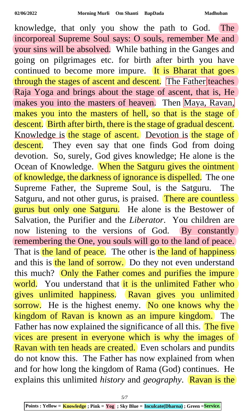knowledge, that only you show the path to God. The incorporeal Supreme Soul says: O souls, remember Me and your sins will be absolved. While bathing in the Ganges and going on pilgrimages etc. for birth after birth you have continued to become more impure. It is Bharat that goes through the stages of ascent and descent. The Father teaches Raja Yoga and brings about the stage of ascent, that is, He makes you into the masters of heaven. Then Maya, Ravan, makes you into the masters of hell, so that is the stage of descent. Birth after birth, there is the stage of gradual descent. Knowledge is the stage of ascent. Devotion is the stage of descent. They even say that one finds God from doing devotion. So, surely, God gives knowledge; He alone is the Ocean of Knowledge. When the Satguru gives the ointment of knowledge, the darkness of ignorance is dispelled. The one Supreme Father, the Supreme Soul, is the Satguru. The Satguru, and not other gurus, is praised. There are countless gurus but only one Satguru. He alone is the Bestower of Salvation, the Purifier and the *Liberator*. You children are now listening to the versions of God. By constantly remembering the One, you souls will go to the land of peace. That is the land of peace. The other is the land of happiness and this is the land of sorrow. Do they not even understand this much? Only the Father comes and purifies the impure world. You understand that it is the unlimited Father who gives unlimited happiness. Ravan gives you unlimited sorrow. He is the highest enemy. No one knows why the kingdom of Ravan is known as an impure kingdom. The Father has now explained the significance of all this. The five vices are present in everyone which is why the images of Ravan with ten heads are created. Even scholars and pundits do not know this. The Father has now explained from when and for how long the kingdom of Rama (God) continues. He explains this unlimited *history* and *geography*. Ravan is the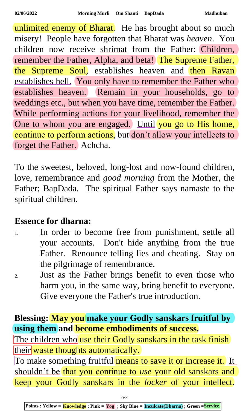unlimited enemy of Bharat. He has brought about so much misery! People have forgotten that Bharat was *heaven*. You children now receive shrimat from the Father: Children, remember the Father, Alpha, and beta! The Supreme Father, the Supreme Soul, establishes heaven and then Ravan establishes hell. You only have to remember the Father who establishes heaven. Remain in your households, go to weddings etc., but when you have time, remember the Father. While performing actions for your livelihood, remember the One to whom you are engaged. Until you go to His home, continue to perform actions, but don't allow your intellects to forget the Father. Achcha.

To the sweetest, beloved, long-lost and now-found children, love, remembrance and *good morning* from the Mother, the Father; BapDada. The spiritual Father says namaste to the spiritual children.

## **Essence for dharna:**

- 1. In order to become free from punishment, settle all your accounts. Don't hide anything from the true Father. Renounce telling lies and cheating. Stay on the pilgrimage of remembrance.
- 2. Just as the Father brings benefit to even those who harm you, in the same way, bring benefit to everyone. Give everyone the Father's true introduction.

## **Blessing: May you make your Godly sanskars fruitful by using them and become embodiments of success.**

The children who use their Godly sanskars in the task finish their waste thoughts automatically.

To make something fruitful means to save it or increase it. It shouldn't be that you continue to *use* your old sanskars and keep your Godly sanskars in the *locker* of your intellect.